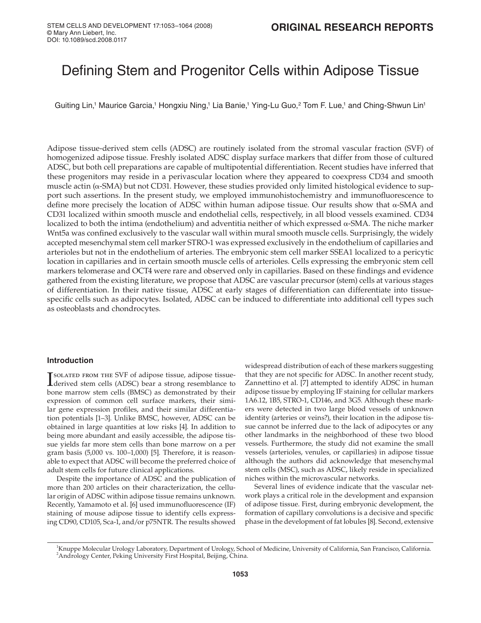# Defining Stem and Progenitor Cells within Adipose Tissue

Guiting Lin,<sup>1</sup> Maurice Garcia,<sup>1</sup> Hongxiu Ning,<sup>1</sup> Lia Banie,<sup>1</sup> Ying-Lu Guo,<sup>2</sup> Tom F. Lue,<sup>1</sup> and Ching-Shwun Lin<sup>1</sup>

Adipose tissue-derived stem cells (ADSC) are routinely isolated from the stromal vascular fraction (SVF) of homogenized adipose tissue. Freshly isolated ADSC display surface markers that differ from those of cultured ADSC, but both cell preparations are capable of multipotential differentiation. Recent studies have inferred that these progenitors may reside in a perivascular location where they appeared to coexpress CD34 and smooth muscle actin (α-SMA) but not CD31. However, these studies provided only limited histological evidence to support such assertions. In the present study, we employed immunohistochemistry and immunofluorescence to define more precisely the location of ADSC within human adipose tissue. Our results show that  $\alpha$ -SMA and CD31 localized within smooth muscle and endothelial cells, respectively, in all blood vessels examined. CD34 localized to both the intima (endothelium) and adventitia neither of which expressed α-SMA. The niche marker Wnt5a was confined exclusively to the vascular wall within mural smooth muscle cells. Surprisingly, the widely accepted mesenchymal stem cell marker STRO-1 was expressed exclusively in the endothelium of capillaries and arterioles but not in the endothelium of arteries. The embryonic stem cell marker SSEA1 localized to a pericytic location in capillaries and in certain smooth muscle cells of arterioles. Cells expressing the embryonic stem cell markers telomerase and OCT4 were rare and observed only in capillaries. Based on these findings and evidence gathered from the existing literature, we propose that ADSC are vascular precursor (stem) cells at various stages of differentiation. In their native tissue, ADSC at early stages of differentiation can differentiate into tissuespecific cells such as adipocytes. Isolated, ADSC can be induced to differentiate into additional cell types such as osteoblasts and chondrocytes.

## **Introduction**

**ISOLATED FROM THE SVF of adipose tissue, adipose tissue-**<br>derived stem cells (ADSC) bear a strong resemblance to derived stem cells (ADSC) bear a strong resemblance to bone marrow stem cells (BMSC) as demonstrated by their expression of common cell surface markers, their similar gene expression profiles, and their similar differentiation potentials [1–3]. Unlike BMSC, however, ADSC can be obtained in large quantities at low risks [4]. In addition to being more abundant and easily accessible, the adipose tissue yields far more stem cells than bone marrow on a per gram basis (5,000 vs. 100–1,000) [5]. Therefore, it is reasonable to expect that ADSC will become the preferred choice of adult stem cells for future clinical applications.

Despite the importance of ADSC and the publication of more than 200 articles on their characterization, the cellular origin of ADSC within adipose tissue remains unknown. Recently, Yamamoto et al. [6] used immunofluorescence (IF) staining of mouse adipose tissue to identify cells expressing CD90, CD105, Sca-1, and/or p75NTR. The results showed

widespread distribution of each of these markers suggesting that they are not specific for ADSC. In another recent study, Zannettino et al. [7] attempted to identify ADSC in human adipose tissue by employing IF staining for cellular markers 1A6.12, 1B5, STRO-1, CD146, and 3G5. Although these markers were detected in two large blood vessels of unknown identity (arteries or veins?), their location in the adipose tissue cannot be inferred due to the lack of adipocytes or any other landmarks in the neighborhood of these two blood vessels. Furthermore, the study did not examine the small vessels (arterioles, venules, or capillaries) in adipose tissue although the authors did acknowledge that mesenchymal stem cells (MSC), such as ADSC, likely reside in specialized niches within the microvascular networks.

Several lines of evidence indicate that the vascular network plays a critical role in the development and expansion of adipose tissue. First, during embryonic development, the formation of capillary convolutions is a decisive and specific phase in the development of fat lobules [8]. Second, extensive

<sup>&</sup>lt;sup>1</sup>Knuppe Molecular Urology Laboratory, Department of Urology, School of Medicine, University of California, San Francisco, California.<br><sup>2</sup>Andrology Conter, Peking University First Hospital, Bojjing, China. <sup>2</sup>Andrology Center, Peking University First Hospital, Beijing, China.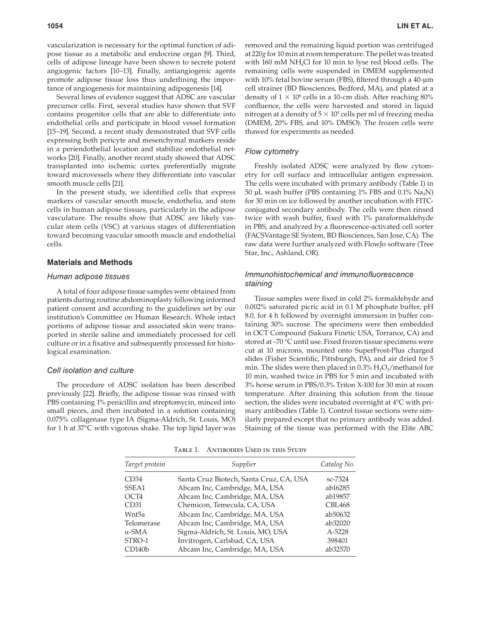vascularization is necessary for the optimal function of adipose tissue as a metabolic and endocrine organ [9]. Third, cells of adipose lineage have been shown to secrete potent angiogenic factors [10–13]. Finally, antiangiogenic agents promote adipose tissue loss thus underlining the importance of angiogenesis for maintaining adipogenesis [14].

Several lines of evidence suggest that ADSC are vascular precursor cells. First, several studies have shown that SVF contains progenitor cells that are able to differentiate into endothelial cells and participate in blood vessel formation [15–19]. Second, a recent study demonstrated that SVF cells expressing both pericyte and mesenchymal markers reside in a periendothelial location and stabilize endothelial networks [20]. Finally, another recent study showed that ADSC transplanted into ischemic cortex preferentially migrate toward microvessels where they differentiate into vascular smooth muscle cells [21].

In the present study, we identified cells that express markers of vascular smooth muscle, endothelia, and stem cells in human adipose tissues, particularly in the adipose vasculature. The results show that ADSC are likely vascular stem cells (VSC) at various stages of differentiation toward becoming vascular smooth muscle and endothelial cells.

# **Materials and Methods**

### Human adipose tissues

A total of four adipose tissue samples were obtained from patients during routine abdominoplasty following informed patient consent and according to the guidelines set by our institution's Committee on Human Research. Whole intact portions of adipose tissue and associated skin were transported in sterile saline and immediately processed for cell culture or in a fixative and subsequently processed for histological examination.

#### Cell isolation and culture

The procedure of ADSC isolation has been described previously [22]. Briefly, the adipose tissue was rinsed with PBS containing 1% penicillin and streptomycin, minced into small pieces, and then incubated in a solution containing 0.075% collagenase type IA (Sigma-Aldrich, St. Louis, MO) for 1 h at 37°C with vigorous shake. The top lipid layer was

removed and the remaining liquid portion was centrifuged at 220*g* for 10 min at room temperature. The pellet was treated with 160 mM NH4Cl for 10 min to lyse red blood cells. The remaining cells were suspended in DMEM supplemented with 10% fetal bovine serum (FBS), filtered through a 40-μm cell strainer (BD Biosciences, Bedford, MA), and plated at a density of  $1 \times 10^6$  cells in a 10-cm dish. After reaching 80% confluence, the cells were harvested and stored in liquid nitrogen at a density of  $5 \times 10^5$  cells per ml of freezing media (DMEM, 20% FBS, and 10% DMSO). The frozen cells were thawed for experiments as needed.

## Flow cytometry

Freshly isolated ADSC were analyzed by flow cytometry for cell surface and intracellular antigen expression. The cells were incubated with primary antibody (Table 1) in 50 μL wash buffer (PBS containing  $1\%$  FBS and  $0.1\%$  Na<sub>3</sub>N) for 30 min on ice followed by another incubation with FITCconjugated secondary antibody. The cells were then rinsed twice with wash buffer, fixed with 1% paraformaldehyde in PBS, and analyzed by a fluorescence-activated cell sorter (FACSVantage SE System, BD Biosciences, San Jose, CA). The raw data were further analyzed with FlowJo software (Tree Star, Inc., Ashland, OR).

# Immunohistochemical and immunofluorescence staining

Tissue samples were fixed in cold 2% formaldehyde and 0.002% saturated picric acid in 0.1 M phosphate buffer, pH 8.0, for 4 h followed by overnight immersion in buffer containing 30% sucrose. The specimens were then embedded in OCT Compound (Sakura Finetic USA, Torrance, CA) and stored at –70 °C until use. Fixed frozen tissue specimens were cut at 10 microns, mounted onto SuperFrost-Plus charged slides (Fisher Scientific, Pittsburgh, PA), and air dried for 5 min. The slides were then placed in  $0.3\%$   $H_2O_2$ /methanol for 10 min, washed twice in PBS for 5 min and incubated with 3% horse serum in PBS/0.3% Triton X-100 for 30 min at room temperature. After draining this solution from the tissue section, the slides were incubated overnight at 4°C with primary antibodies (Table 1). Control tissue sections were similarly prepared except that no primary antibody was added. Staining of the tissue was performed with the Elite ABC

| Target protein     | Supplier                                | Catalog No.   |
|--------------------|-----------------------------------------|---------------|
| CD <sub>34</sub>   | Santa Cruz Biotech, Santa Cruz, CA, USA | sc-7324       |
| SSEA1              | Abcam Inc, Cambridge, MA, USA           | ab16285       |
| OCT4               | Abcam Inc, Cambridge, MA, USA           | ab19857       |
| CD31               | Chemicon, Temecula, CA, USA             | <b>CBL468</b> |
| Wnt5a              | Abcam Inc, Cambridge, MA, USA           | ab50632       |
| Telomerase         | Abcam Inc, Cambridge, MA, USA           | ab32020       |
| $\alpha$ -SMA      | Sigma-Aldrich, St. Louis, MO, USA       | A-5228        |
| STRO-1             | Invitrogen, Carlsbad, CA, USA           | 398401        |
| CD140 <sub>b</sub> | Abcam Inc, Cambridge, MA, USA           | ab32570       |

Table 1. Antibodies Used in this Study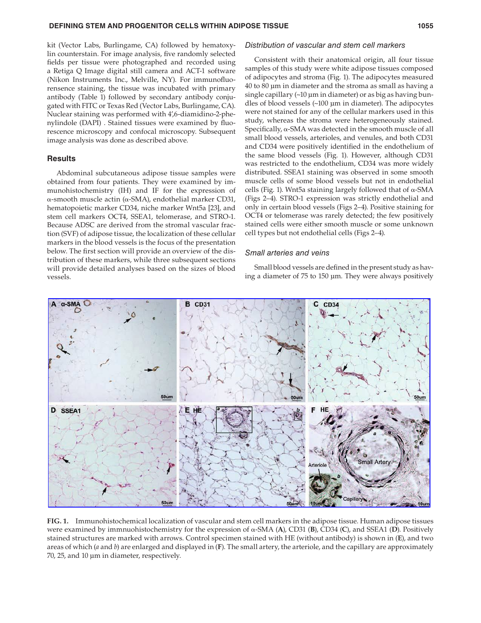kit (Vector Labs, Burlingame, CA) followed by hematoxylin counterstain. For image analysis, five randomly selected fields per tissue were photographed and recorded using a Retiga Q Image digital still camera and ACT-1 software (Nikon Instruments Inc., Melville, NY). For immunofluorensence staining, the tissue was incubated with primary antibody (Table 1) followed by secondary antibody conjugated with FITC or Texas Red (Vector Labs, Burlingame, CA). Nuclear staining was performed with 4',6-diamidino-2-phenylindole (DAPI). Stained tissues were examined by fluorescence microscopy and confocal microscopy. Subsequent image analysis was done as described above.

# **Results**

Abdominal subcutaneous adipose tissue samples were obtained from four patients. They were examined by immunohistochemistry (IH) and IF for the expression of α-smooth muscle actin (α-SMA), endothelial marker CD31, hematopoietic marker CD34, niche marker Wnt5a [23], and stem cell markers OCT4, SSEA1, telomerase, and STRO-1. Because ADSC are derived from the stromal vascular fraction (SVF) of adipose tissue, the localization of these cellular markers in the blood vessels is the focus of the presentation below. The first section will provide an overview of the distribution of these markers, while three subsequent sections will provide detailed analyses based on the sizes of blood vessels.

#### Distribution of vascular and stem cell markers

Consistent with their anatomical origin, all four tissue samples of this study were white adipose tissues composed of adipocytes and stroma (Fig. 1). The adipocytes measured 40 to 80 μm in diameter and the stroma as small as having a single capillary (~10 μm in diameter) or as big as having bundles of blood vessels (~100 μm in diameter). The adipocytes were not stained for any of the cellular markers used in this study, whereas the stroma were heterogeneously stained. Specifically,  $\alpha$ -SMA was detected in the smooth muscle of all small blood vessels, arterioles, and venules, and both CD31 and CD34 were positively identified in the endothelium of the same blood vessels (Fig. 1). However, although CD31 was restricted to the endothelium, CD34 was more widely distributed. SSEA1 staining was observed in some smooth muscle cells of some blood vessels but not in endothelial cells (Fig. 1). Wnt5a staining largely followed that of α-SMA (Figs 2–4). STRO-1 expression was strictly endothelial and only in certain blood vessels (Figs 2–4). Positive staining for OCT4 or telomerase was rarely detected; the few positively stained cells were either smooth muscle or some unknown cell types but not endothelial cells (Figs 2–4).

#### Small arteries and veins

Small blood vessels are defined in the present study as having a diameter of 75 to 150 μm. They were always positively



**FIG. 1.** Immunohistochemical localization of vascular and stem cell markers in the adipose tissue. Human adipose tissues were examined by immnuohistochemistry for the expression of α-SMA (**A**), CD31 (**B**), CD34 (**C**), and SSEA1 (**D**). Positively stained structures are marked with arrows. Control specimen stained with HE (without antibody) is shown in (**E**), and two areas of which (*a* and *b*) are enlarged and displayed in (**F**). The small artery, the arteriole, and the capillary are approximately 70, 25, and 10 μm in diameter, respectively.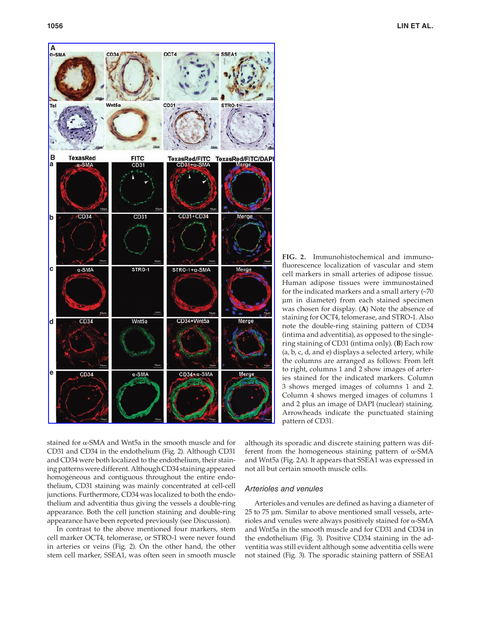

**FIG. 2.** Immunohistochemical and immunofluorescence localization of vascular and stem cell markers in small arteries of adipose tissue. Human adipose tissues were immunostained for the indicated markers and a small artery (~70 μm in diameter) from each stained specimen was chosen for display. (**A**) Note the absence of staining for OCT4, telomerase, and STRO-1. Also note the double-ring staining pattern of CD34 (intima and adventitia), as opposed to the singlering staining of CD31 (intima only). (**B**) Each row (a, b, c, d, and e) displays a selected artery, while the columns are arranged as follows: From left to right, columns 1 and 2 show images of arteries stained for the indicated markers. Column 3 shows merged images of columns 1 and 2. Column 4 shows merged images of columns 1 and 2 plus an image of DAPI (nuclear) staining. Arrowheads indicate the punctuated staining pattern of CD31.

stained for α-SMA and Wnt5a in the smooth muscle and for CD31 and CD34 in the endothelium (Fig. 2). Although CD31 and CD34 were both localized to the endothelium, their staining patterns were different. Although CD34 staining appeared homogeneous and contiguous throughout the entire endothelium, CD31 staining was mainly concentrated at cell-cell junctions. Furthermore, CD34 was localized to both the endothelium and adventitia thus giving the vessels a double-ring appearance. Both the cell junction staining and double-ring appearance have been reported previously (see Discussion).

In contrast to the above mentioned four markers, stem cell marker OCT4, telomerase, or STRO-1 were never found in arteries or veins (Fig. 2). On the other hand, the other stem cell marker, SSEA1, was often seen in smooth muscle

although its sporadic and discrete staining pattern was different from the homogeneous staining pattern of α-SMA and Wnt5a (Fig. 2A). It appears that SSEA1 was expressed in not all but certain smooth muscle cells.

# Arterioles and venules

Arterioles and venules are defined as having a diameter of 25 to 75 μm. Similar to above mentioned small vessels, arterioles and venules were always positively stained for α-SMA and Wnt5a in the smooth muscle and for CD31 and CD34 in the endothelium (Fig. 3). Positive CD34 staining in the adventitia was still evident although some adventitia cells were not stained (Fig. 3). The sporadic staining pattern of SSEA1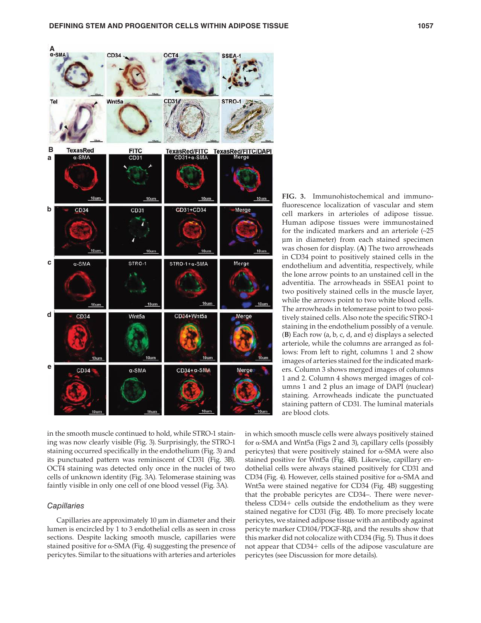

in the smooth muscle continued to hold, while STRO-1 staining was now clearly visible (Fig. 3). Surprisingly, the STRO-1 staining occurred specifically in the endothelium (Fig. 3) and its punctuated pattern was reminiscent of CD31 (Fig. 3B). OCT4 staining was detected only once in the nuclei of two cells of unknown identity (Fig. 3A). Telomerase staining was faintly visible in only one cell of one blood vessel (Fig. 3A).

# **Capillaries**

Capillaries are approximately 10 μm in diameter and their lumen is encircled by 1 to 3 endothelial cells as seen in cross sections. Despite lacking smooth muscle, capillaries were stained positive for  $\alpha$ -SMA (Fig. 4) suggesting the presence of pericytes. Similar to the situations with arteries and arterioles

**FIG. 3.** Immunohistochemical and immunofluorescence localization of vascular and stem cell markers in arterioles of adipose tissue. Human adipose tissues were immunostained for the indicated markers and an arteriole (~25 μm in diameter) from each stained specimen was chosen for display. (**A**) The two arrowheads in CD34 point to positively stained cells in the endothelium and adventitia, respectively, while the lone arrow points to an unstained cell in the adventitia. The arrowheads in SSEA1 point to two positively stained cells in the muscle layer, while the arrows point to two white blood cells. The arrowheads in telomerase point to two positively stained cells. Also note the specific STRO-1 staining in the endothelium possibly of a venule. (**B**) Each row (a, b, c, d, and e) displays a selected arteriole, while the columns are arranged as follows: From left to right, columns 1 and 2 show images of arteries stained for the indicated markers. Column 3 shows merged images of columns 1 and 2. Column 4 shows merged images of columns 1 and 2 plus an image of DAPI (nuclear) staining. Arrowheads indicate the punctuated staining pattern of CD31. The luminal materials are blood clots.

in which smooth muscle cells were always positively stained for α-SMA and Wnt5a (Figs 2 and 3), capillary cells (possibly pericytes) that were positively stained for α-SMA were also stained positive for Wnt5a (Fig. 4B). Likewise, capillary endothelial cells were always stained positively for CD31 and CD34 (Fig. 4). However, cells stained positive for  $\alpha$ -SMA and Wnt5a were stained negative for CD34 (Fig. 4B) suggesting that the probable pericytes are CD34–. There were nevertheless CD34+ cells outside the endothelium as they were stained negative for CD31 (Fig. 4B). To more precisely locate pericytes, we stained adipose tissue with an antibody against pericyte marker CD104/PDGF-Rβ, and the results show that this marker did not colocalize with CD34 (Fig. 5). Thus it does not appear that CD34+ cells of the adipose vasculature are pericytes (see Discussion for more details).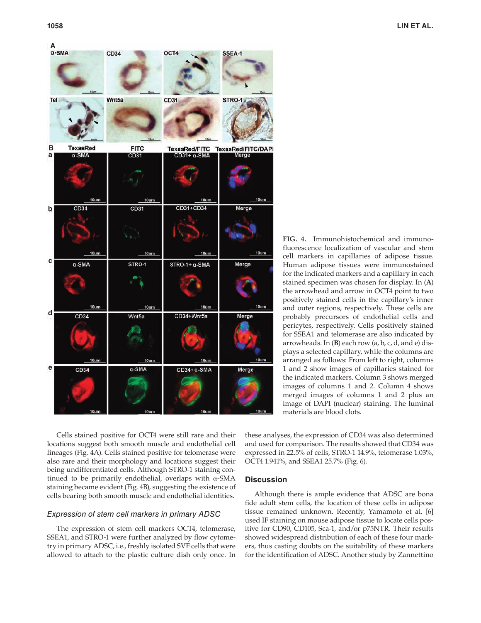

**FIG. 4.** Immunohistochemical and immunofluorescence localization of vascular and stem cell markers in capillaries of adipose tissue. Human adipose tissues were immunostained for the indicated markers and a capillary in each stained specimen was chosen for display. In (**A**) the arrowhead and arrow in OCT4 point to two positively stained cells in the capillary's inner and outer regions, respectively. These cells are probably precursors of endothelial cells and pericytes, respectively. Cells positively stained for SSEA1 and telomerase are also indicated by arrowheads. In (**B**) each row (a, b, c, d, and e) displays a selected capillary, while the columns are arranged as follows: From left to right, columns 1 and 2 show images of capillaries stained for the indicated markers. Column 3 shows merged images of columns 1 and 2. Column 4 shows merged images of columns 1 and 2 plus an image of DAPI (nuclear) staining. The luminal materials are blood clots.

Cells stained positive for OCT4 were still rare and their locations suggest both smooth muscle and endothelial cell lineages (Fig. 4A). Cells stained positive for telomerase were also rare and their morphology and locations suggest their being undifferentiated cells. Although STRO-1 staining continued to be primarily endothelial, overlaps with α-SMA staining became evident (Fig. 4B), suggesting the existence of cells bearing both smooth muscle and endothelial identities.

# Expression of stem cell markers in primary ADSC

The expression of stem cell markers OCT4, telomerase, SSEA1, and STRO-1 were further analyzed by flow cytometry in primary ADSC, i.e., freshly isolated SVF cells that were allowed to attach to the plastic culture dish only once. In

these analyses, the expression of CD34 was also determined and used for comparison. The results showed that CD34 was expressed in 22.5% of cells, STRO-1 14.9%, telomerase 1.03%, OCT4 1.941%, and SSEA1 25.7% (Fig. 6).

# **Discussion**

Although there is ample evidence that ADSC are bona fide adult stem cells, the location of these cells in adipose tissue remained unknown. Recently, Yamamoto et al. [6] used IF staining on mouse adipose tissue to locate cells positive for CD90, CD105, Sca-1, and/or p75NTR. Their results showed widespread distribution of each of these four markers, thus casting doubts on the suitability of these markers for the identification of ADSC. Another study by Zannettino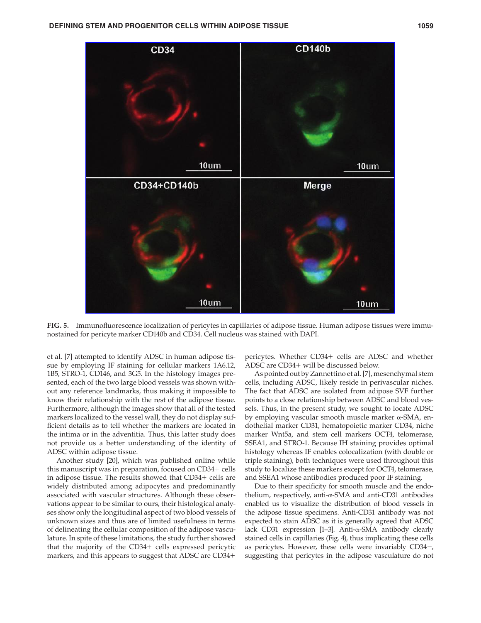

**FIG. 5.** Immunofluorescence localization of pericytes in capillaries of adipose tissue. Human adipose tissues were immunostained for pericyte marker CD140b and CD34. Cell nucleus was stained with DAPI.

et al. [7] attempted to identify ADSC in human adipose tissue by employing IF staining for cellular markers 1A6.12, 1B5, STRO-1, CD146, and 3G5. In the histology images presented, each of the two large blood vessels was shown without any reference landmarks, thus making it impossible to know their relationship with the rest of the adipose tissue. Furthermore, although the images show that all of the tested markers localized to the vessel wall, they do not display sufficient details as to tell whether the markers are located in the intima or in the adventitia. Thus, this latter study does not provide us a better understanding of the identity of ADSC within adipose tissue.

Another study [20], which was published online while this manuscript was in preparation, focused on CD34+ cells in adipose tissue. The results showed that CD34+ cells are widely distributed among adipocytes and predominantly associated with vascular structures. Although these observations appear to be similar to ours, their histological analyses show only the longitudinal aspect of two blood vessels of unknown sizes and thus are of limited usefulness in terms of delineating the cellular composition of the adipose vasculature. In spite of these limitations, the study further showed that the majority of the CD34+ cells expressed pericytic markers, and this appears to suggest that ADSC are CD34+

pericytes. Whether CD34+ cells are ADSC and whether ADSC are CD34+ will be discussed below.

As pointed out by Zannettino et al. [7], mesenchymal stem cells, including ADSC, likely reside in perivascular niches. The fact that ADSC are isolated from adipose SVF further points to a close relationship between ADSC and blood vessels. Thus, in the present study, we sought to locate ADSC by employing vascular smooth muscle marker α-SMA, endothelial marker CD31, hematopoietic marker CD34, niche marker Wnt5a, and stem cell markers OCT4, telomerase, SSEA1, and STRO-1. Because IH staining provides optimal histology whereas IF enables colocalization (with double or triple staining), both techniques were used throughout this study to localize these markers except for OCT4, telomerase, and SSEA1 whose antibodies produced poor IF staining.

Due to their specificity for smooth muscle and the endothelium, respectively, anti-α-SMA and anti-CD31 antibodies enabled us to visualize the distribution of blood vessels in the adipose tissue specimens. Anti-CD31 antibody was not expected to stain ADSC as it is generally agreed that ADSC lack CD31 expression [1–3]. Anti-α-SMA antibody clearly stained cells in capillaries (Fig. 4), thus implicating these cells as pericytes. However, these cells were invariably CD34−, suggesting that pericytes in the adipose vasculature do not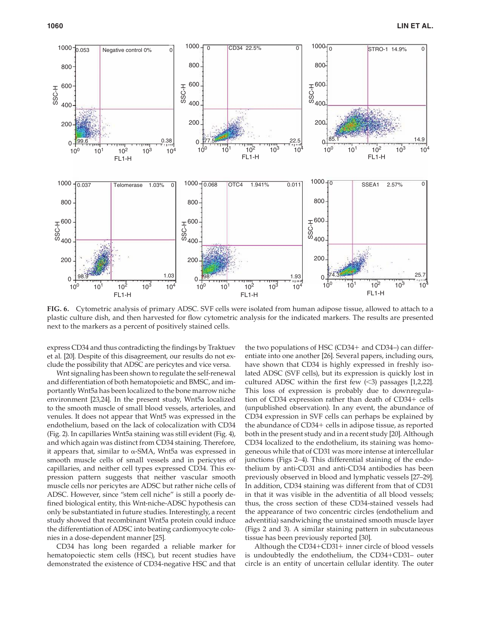

**FIG. 6.** Cytometric analysis of primary ADSC. SVF cells were isolated from human adipose tissue, allowed to attach to a plastic culture dish, and then harvested for flow cytometric analysis for the indicated markers. The results are presented next to the markers as a percent of positively stained cells.

express CD34 and thus contradicting the findings by Traktuev et al. [20]. Despite of this disagreement, our results do not exclude the possibility that ADSC are pericytes and vice versa.

Wnt signaling has been shown to regulate the self-renewal and differentiation of both hematopoietic and BMSC, and importantly Wnt5a has been localized to the bone marrow niche environment [23,24]. In the present study, Wnt5a localized to the smooth muscle of small blood vessels, arterioles, and venules. It does not appear that Wnt5 was expressed in the endothelium, based on the lack of colocalization with CD34 (Fig. 2). In capillaries Wnt5a staining was still evident (Fig. 4), and which again was distinct from CD34 staining. Therefore, it appears that, similar to  $\alpha$ -SMA, Wnt5a was expressed in smooth muscle cells of small vessels and in pericytes of capillaries, and neither cell types expressed CD34. This expression pattern suggests that neither vascular smooth muscle cells nor pericytes are ADSC but rather niche cells of ADSC. However, since "stem cell niche" is still a poorly defined biological entity, this Wnt-niche-ADSC hypothesis can only be substantiated in future studies. Interestingly, a recent study showed that recombinant Wnt5a protein could induce the differentiation of ADSC into beating cardiomyocyte colonies in a dose-dependent manner [25].

CD34 has long been regarded a reliable marker for hematopoiectic stem cells (HSC), but recent studies have demonstrated the existence of CD34-negative HSC and that

the two populations of HSC (CD34+ and CD34–) can differentiate into one another [26]. Several papers, including ours, have shown that CD34 is highly expressed in freshly isolated ADSC (SVF cells), but its expression is quickly lost in cultured ADSC within the first few  $($  < 3 $)$  passages [1,2,22]. This loss of expression is probably due to downregulation of CD34 expression rather than death of CD34+ cells (unpublished observation). In any event, the abundance of CD34 expression in SVF cells can perhaps be explained by the abundance of CD34+ cells in adipose tissue, as reported both in the present study and in a recent study [20]. Although CD34 localized to the endothelium, its staining was homogeneous while that of CD31 was more intense at intercellular junctions (Figs 2–4). This differential staining of the endothelium by anti-CD31 and anti-CD34 antibodies has been previously observed in blood and lymphatic vessels [27–29]. In addition, CD34 staining was different from that of CD31 in that it was visible in the adventitia of all blood vessels; thus, the cross section of these CD34-stained vessels had the appearance of two concentric circles (endothelium and adventitia) sandwiching the unstained smooth muscle layer (Figs 2 and 3). A similar staining pattern in subcutaneous tissue has been previously reported [30].

Although the CD34+CD31+ inner circle of blood vessels is undoubtedly the endothelium, the CD34+CD31– outer circle is an entity of uncertain cellular identity. The outer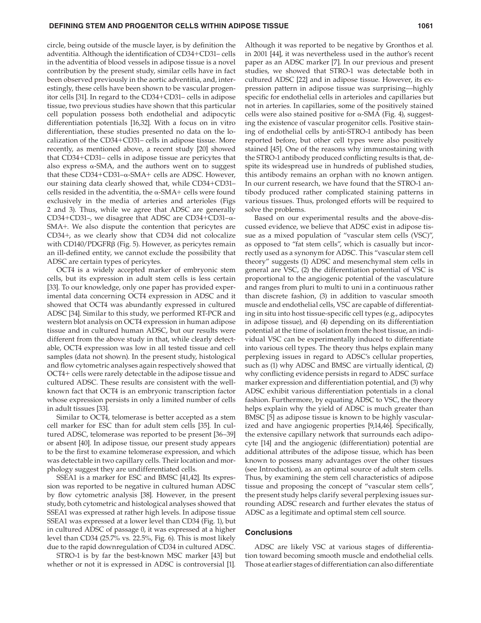circle, being outside of the muscle layer, is by definition the adventitia. Although the identification of CD34+CD31- cells in the adventitia of blood vessels in adipose tissue is a novel contribution by the present study, similar cells have in fact been observed previously in the aortic adventitia, and, interestingly, these cells have been shown to be vascular progenitor cells [31]. In regard to the CD34+CD31– cells in adipose tissue, two previous studies have shown that this particular cell population possess both endothelial and adipocytic differentiation potentials [16,32]. With a focus on in vitro differentiation, these studies presented no data on the localization of the CD34+CD31– cells in adipose tissue. More recently, as mentioned above, a recent study [20] showed that CD34+CD31– cells in adipose tissue are pericytes that also express  $\alpha$ -SMA, and the authors went on to suggest that these CD34+CD31–α-SMA+ cells are ADSC. However, our staining data clearly showed that, while CD34+CD31– cells resided in the adventitia, the  $α$ -SMA+ cells were found exclusively in the media of arteries and arterioles (Figs 2 and 3). Thus, while we agree that ADSC are generally CD34+CD31–, we disagree that ADSC are CD34+CD31–α-SMA+. We also dispute the contention that pericytes are CD34+, as we clearly show that CD34 did not colocalize with CD140/PDGFRβ (Fig. 5). However, as pericytes remain an ill-defined entity, we cannot exclude the possibility that ADSC are certain types of pericytes.

OCT4 is a widely accepted marker of embryonic stem cells, but its expression in adult stem cells is less certain [33]. To our knowledge, only one paper has provided experimental data concerning OCT4 expression in ADSC and it showed that OCT4 was abundantly expressed in cultured ADSC [34]. Similar to this study, we performed RT-PCR and western blot analysis on OCT4 expression in human adipose tissue and in cultured human ADSC, but our results were different from the above study in that, while clearly detectable, OCT4 expression was low in all tested tissue and cell samples (data not shown). In the present study, histological and flow cytometric analyses again respectively showed that OCT4+ cells were rarely detectable in the adipose tissue and cultured ADSC. These results are consistent with the wellknown fact that OCT4 is an embryonic transcription factor whose expression persists in only a limited number of cells in adult tissues [33].

Similar to OCT4, telomerase is better accepted as a stem cell marker for ESC than for adult stem cells [35]. In cultured ADSC, telomerase was reported to be present [36–39] or absent [40]. In adipose tissue, our present study appears to be the first to examine telomerase expression, and which was detectable in two capillary cells. Their location and morphology suggest they are undifferentiated cells.

SSEA1 is a marker for ESC and BMSC [41,42]. Its expression was reported to be negative in cultured human ADSC by flow cytometric analysis [38]. However, in the present study, both cytometric and histological analyses showed that SSEA1 was expressed at rather high levels. In adipose tissue SSEA1 was expressed at a lower level than CD34 (Fig. 1), but in cultured ADSC of passage 0, it was expressed at a higher level than CD34 (25.7% vs. 22.5%, Fig. 6). This is most likely due to the rapid downregulation of CD34 in cultured ADSC.

STRO-1 is by far the best-known MSC marker [43] but whether or not it is expressed in ADSC is controversial [1].

Although it was reported to be negative by Gronthos et al. in 2001 [44], it was nevertheless used in the author's recent paper as an ADSC marker [7]. In our previous and present studies, we showed that STRO-1 was detectable both in cultured ADSC [22] and in adipose tissue. However, its expression pattern in adipose tissue was surprising—highly specific for endothelial cells in arterioles and capillaries but not in arteries. In capillaries, some of the positively stained cells were also stained positive for  $α$ -SMA (Fig. 4), suggesting the existence of vascular progenitor cells. Positive staining of endothelial cells by anti-STRO-1 antibody has been reported before, but other cell types were also positively stained [45]. One of the reasons why immunostaining with the STRO-1 antibody produced conflicting results is that, despite its widespread use in hundreds of published studies, this antibody remains an orphan with no known antigen. In our current research, we have found that the STRO-1 antibody produced rather complicated staining patterns in various tissues. Thus, prolonged efforts will be required to solve the problems.

Based on our experimental results and the above-discussed evidence, we believe that ADSC exist in adipose tissue as a mixed population of "vascular stem cells (VSC)", as opposed to "fat stem cells", which is casually but incorrectly used as a synonym for ADSC. This "vascular stem cell theory" suggests (1) ADSC and mesenchymal stem cells in general are VSC, (2) the differentiation potential of VSC is proportional to the angiogenic potential of the vasculature and ranges from pluri to multi to uni in a continuous rather than discrete fashion, (3) in addition to vascular smooth muscle and endothelial cells, VSC are capable of differentiating in situ into host tissue-specific cell types (e.g., adipocytes in adipose tissue), and (4) depending on its differentiation potential at the time of isolation from the host tissue, an individual VSC can be experimentally induced to differentiate into various cell types. The theory thus helps explain many perplexing issues in regard to ADSC's cellular properties, such as (1) why ADSC and BMSC are virtually identical, (2) why conflicting evidence persists in regard to ADSC surface marker expression and differentiation potential, and (3) why ADSC exhibit various differentiation potentials in a clonal fashion. Furthermore, by equating ADSC to VSC, the theory helps explain why the yield of ADSC is much greater than BMSC [5] as adipose tissue is known to be highly vascularized and have angiogenic properties [9,14,46]. Specifically, the extensive capillary network that surrounds each adipocyte [14] and the angiogenic (differentiation) potential are additional attributes of the adipose tissue, which has been known to possess many advantages over the other tissues (see Introduction), as an optimal source of adult stem cells. Thus, by examining the stem cell characteristics of adipose tissue and proposing the concept of "vascular stem cells", the present study helps clarify several perplexing issues surrounding ADSC research and further elevates the status of ADSC as a legitimate and optimal stem cell source.

## **Conclusions**

ADSC are likely VSC at various stages of differentiation toward becoming smooth muscle and endothelial cells. Those at earlier stages of differentiation can also differentiate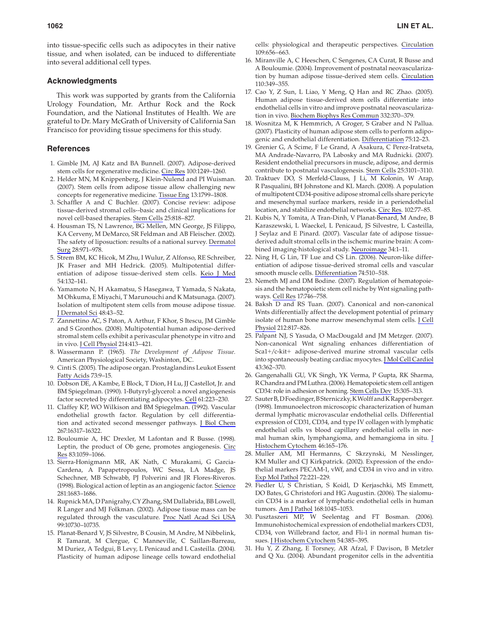into tissue-specific cells such as adipocytes in their native tissue, and when isolated, can be induced to differentiate into several additional cell types.

# **Acknowledgments**

This work was supported by grants from the California Urology Foundation, Mr. Arthur Rock and the Rock Foundation, and the National Institutes of Health. We are grateful to Dr. Mary McGrath of University of California San Francisco for providing tissue specimens for this study.

# **References**

- 1. Gimble JM, AJ Katz and BA Bunnell. (2007). Adipose-derived stem cells for regenerative medicine. Circ Res 100:1249–1260.
- 2. Helder MN, M Knippenberg, J Klein-Nulend and PI Wuisman. (2007). Stem cells from adipose tissue allow challenging new concepts for regenerative medicine. Tissue Eng 13:1799–1808.
- 3. Schaffler A and C Buchler. (2007). Concise review: adipose tissue-derived stromal cells--basic and clinical implications for novel cell-based therapies. Stem Cells 25:818–827.
- 4. Housman TS, N Lawrence, BG Mellen, MN George, JS Filippo, KA Cerveny, M DeMarco, SR Feldman and AB Fleischer. (2002). The safety of liposuction: results of a national survey. Dermatol Surg 28:971–978.
- 5. Strem BM, KC Hicok, M Zhu, I Wulur, Z Alfonso, RE Schreiber, JK Fraser and MH Hedrick. (2005). Multipotential differentiation of adipose tissue-derived stem cells. Keio J Med 54:132–141.
- 6. Yamamoto N, H Akamatsu, S Hasegawa, T Yamada, S Nakata, M Ohkuma, E Miyachi, T Marunouchi and K Matsunaga. (2007). Isolation of multipotent stem cells from mouse adipose tissue. J Dermatol Sci 48:43–52.
- 7. Zannettino AC, S Paton, A Arthur, F Khor, S Itescu, JM Gimble and S Gronthos. (2008). Multipotential human adipose-derived stromal stem cells exhibit a perivascular phenotype in vitro and in vivo. J Cell Physiol 214:413–421.
- 8. Wassermann P. (1965). *The Development of Adipose Tissue.* American Physiological Society, Washinton, DC.
- 9. Cinti S. (2005). The adipose organ. Prostaglandins Leukot Essent Fatty Acids 73:9–15.
- 10. Dobson DE, A Kambe, E Block, T Dion, H Lu, JJ Castellot, Jr. and BM Spiegelman. (1990). 1-Butyryl-glycerol: a novel angiogenesis factor secreted by differentiating adipocytes. Cell 61:223-230.
- 11. Claffey KP, WO Wilkison and BM Spiegelman. (1992). Vascular endothelial growth factor. Regulation by cell differentiation and activated second messenger pathways. J Biol Chem 267:16317–16322.
- 12. Bouloumie A, HC Drexler, M Lafontan and R Busse. (1998). Leptin, the product of Ob gene, promotes angiogenesis. Circ Res 83:1059–1066.
- 13. Sierra-Honigmann MR, AK Nath, C Murakami, G Garcia-Cardena, A Papapetropoulos, WC Sessa, LA Madge, JS Schechner, MB Schwabb, PJ Polverini and JR Flores-Riveros. (1998). Biological action of leptin as an angiogenic factor. Science 281:1683–1686.
- 14. Rupnick MA, D Panigrahy, CY Zhang, SM Dallabrida, BB Lowell, R Langer and MJ Folkman. (2002). Adipose tissue mass can be regulated through the vasculature. Proc Natl Acad Sci USA 99:10730–10735.
- 15. Planat-Benard V, JS Silvestre, B Cousin, M Andre, M Nibbelink, R Tamarat, M Clergue, C Manneville, C Saillan-Barreau, M Duriez, A Tedgui, B Levy, L Penicaud and L Casteilla. (2004). Plasticity of human adipose lineage cells toward endothelial

cells: physiological and therapeutic perspectives. Circulation 109:656–663.

- 16. Miranville A, C Heeschen, C Sengenes, CA Curat, R Busse and A Bouloumie. (2004). Improvement of postnatal neovascularization by human adipose tissue-derived stem cells. Circulation 110:349–355.
- 17. Cao Y, Z Sun, L Liao, Y Meng, Q Han and RC Zhao. (2005). Human adipose tissue-derived stem cells differentiate into endothelial cells in vitro and improve postnatal neovascularization in vivo. Biochem Biophys Res Commun 332:370–379.
- 18. Wosnitza M, K Hemmrich, A Groger, S Graber and N Pallua. (2007). Plasticity of human adipose stem cells to perform adipogenic and endothelial differentiation. Differentiation 75:12–23.
- 19. Grenier G, A Scime, F Le Grand, A Asakura, C Perez-Iratxeta, MA Andrade-Navarro, PA Labosky and MA Rudnicki. (2007). Resident endothelial precursors in muscle, adipose, and dermis contribute to postnatal vasculogenesis. Stem Cells 25:3101–3110.
- 20. Traktuev DO, S Merfeld-Clauss, J Li, M Kolonin, W Arap, R Pasqualini, BH Johnstone and KL March. (2008). A population of multipotent CD34-positive adipose stromal cells share pericyte and mesenchymal surface markers, reside in a periendothelial location, and stabilize endothelial networks. Circ Res. 102:77–85.
- 21. Kubis N, Y Tomita, A Tran-Dinh, V Planat-Benard, M Andre, B Karaszewski, L Waeckel, L Penicaud, JS Silvestre, L Casteilla, J Seylaz and E Pinard. (2007). Vascular fate of adipose tissuederived adult stromal cells in the ischemic murine brain: A combined imaging-histological study. Neuroimage 34:1–11.
- 22. Ning H, G Lin, TF Lue and CS Lin. (2006). Neuron-like differentiation of adipose tissue-derived stromal cells and vascular smooth muscle cells. Differentiation 74:510–518.
- 23. Nemeth MJ and DM Bodine. (2007). Regulation of hematopoiesis and the hematopoietic stem cell niche by Wnt signaling pathways. Cell Res 17:746–758.
- 24. Baksh D and RS Tuan. (2007). Canonical and non-canonical Wnts differentially affect the development potential of primary isolate of human bone marrow mesenchymal stem cells. J Cell Physiol 212:817–826.
- 25. Palpant NJ, S Yasuda, O MacDougald and JM Metzger. (2007). Non-canonical Wnt signaling enhances differentiation of Sca1+/c-kit+ adipose-derived murine stromal vascular cells into spontaneously beating cardiac myocytes. J Mol Cell Cardiol 43:362–370.
- 26. Gangenahalli GU, VK Singh, YK Verma, P Gupta, RK Sharma, R Chandra and PM Luthra. (2006). Hematopoietic stem cell antigen CD34: role in adhesion or homing. Stem Cells Dev 15:305–313.
- 27. Sauter B, D Foedinger, B Sterniczky, K Wolff and K Rappersberger. (1998). Immunoelectron microscopic characterization of human dermal lymphatic microvascular endothelial cells. Differential expression of CD31, CD34, and type IV collagen with lymphatic endothelial cells vs blood capillary endothelial cells in normal human skin, lymphangioma, and hemangioma in situ. J Histochem Cytochem 46:165–176.
- 28. Muller AM, MI Hermanns, C Skrzynski, M Nesslinger, KM Muller and CJ Kirkpatrick. (2002). Expression of the endothelial markers PECAM-1, vWf, and CD34 in vivo and in vitro. Exp Mol Pathol 72:221–229.
- 29. Fiedler U, S Christian, S Koidl, D Kerjaschki, MS Emmett, DO Bates, G Christofori and HG Augustin. (2006). The sialomucin CD34 is a marker of lymphatic endothelial cells in human tumors. Am J Pathol 168:1045–1053.
- 30. Pusztaszeri MP, W Seelentag and FT Bosman. (2006). Immunohistochemical expression of endothelial markers CD31, CD34, von Willebrand factor, and Fli-1 in normal human tissues. J Histochem Cytochem 54:385–395.
- 31. Hu Y, Z Zhang, E Torsney, AR Afzal, F Davison, B Metzler and Q Xu. (2004). Abundant progenitor cells in the adventitia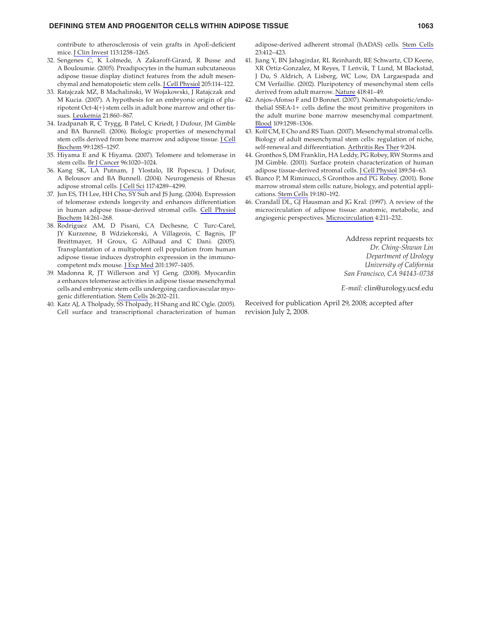#### **DEFINING STEM AND PROGENITOR CELLS WITHIN ADIPOSE TISSUE 1063**

contribute to atherosclerosis of vein grafts in ApoE-deficient mice. J Clin Invest 113:1258–1265.

- 32. Sengenes C, K Lolmede, A Zakaroff-Girard, R Busse and A Bouloumie. (2005). Preadipocytes in the human subcutaneous adipose tissue display distinct features from the adult mesenchymal and hematopoietic stem cells. J Cell Physiol 205:114–122.
- 33. Ratajczak MZ, B Machalinski, W Wojakowski, J Ratajczak and M Kucia. (2007). A hypothesis for an embryonic origin of pluripotent Oct-4(+) stem cells in adult bone marrow and other tissues. Leukemia 21:860–867.
- 34. Izadpanah R, C Trygg, B Patel, C Kriedt, J Dufour, JM Gimble and BA Bunnell. (2006). Biologic properties of mesenchymal stem cells derived from bone marrow and adipose tissue. J Cell Biochem 99:1285–1297.
- 35. Hiyama E and K Hiyama. (2007). Telomere and telomerase in stem cells. **Br J Cancer 96:1020-1024.**
- 36. Kang SK, LA Putnam, J Ylostalo, IR Popescu, J Dufour, A Belousov and BA Bunnell. (2004). Neurogenesis of Rhesus adipose stromal cells. J Cell Sci 117:4289-4299.
- 37. Jun ES, TH Lee, HH Cho, SY Suh and JS Jung. (2004). Expression of telomerase extends longevity and enhances differentiation in human adipose tissue-derived stromal cells. Cell Physiol Biochem 14:261–268.
- 38. Rodriguez AM, D Pisani, CA Dechesne, C Turc-Carel, JY Kurzenne, B Wdziekonski, A Villageois, C Bagnis, JP Breittmayer, H Groux, G Ailhaud and C Dani. (2005). Transplantation of a multipotent cell population from human adipose tissue induces dystrophin expression in the immunocompetent mdx mouse. J Exp Med 201:1397–1405.
- 39. Madonna R, JT Willerson and YJ Geng. (2008). Myocardin a enhances telomerase activities in adipose tissue mesenchymal cells and embryonic stem cells undergoing cardiovascular myogenic differentiation. Stem Cells 26:202–211.
- 40. Katz AJ, A Tholpady, SS Tholpady, H Shang and RC Ogle. (2005). Cell surface and transcriptional characterization of human

adipose-derived adherent stromal (hADAS) cells. Stem Cells 23:412–423.

- 41. Jiang Y, BN Jahagirdar, RL Reinhardt, RE Schwartz, CD Keene, XR Ortiz-Gonzalez, M Reyes, T Lenvik, T Lund, M Blackstad, J Du, S Aldrich, A Lisberg, WC Low, DA Largaespada and CM Verfaillie. (2002). Pluripotency of mesenchymal stem cells derived from adult marrow. Nature 418:41–49.
- 42. Anjos-Afonso F and D Bonnet. (2007). Nonhematopoietic/endothelial SSEA-1+ cells define the most primitive progenitors in the adult murine bone marrow mesenchymal compartment. Blood 109:1298–1306.
- 43. Kolf CM, E Cho and RS Tuan. (2007). Mesenchymal stromal cells. Biology of adult mesenchymal stem cells: regulation of niche, self-renewal and differentiation. Arthritis Res Ther 9:204.
- 44. Gronthos S, DM Franklin, HA Leddy, PG Robey, RW Storms and JM Gimble. (2001). Surface protein characterization of human adipose tissue-derived stromal cells. J Cell Physiol 189:54–63.
- 45. Bianco P, M Riminucci, S Gronthos and PG Robey. (2001). Bone marrow stromal stem cells: nature, biology, and potential applications. Stem Cells 19:180–192.
- 46. Crandall DL, GJ Hausman and JG Kral. (1997). A review of the microcirculation of adipose tissue: anatomic, metabolic, and angiogenic perspectives. Microcirculation 4:211–232.

Address reprint requests to: *Dr. Ching-Shwun Lin Department of Urology University of California San Francisco, CA 94143-0738*

*E-mail:* clin@urology.ucsf.edu

Received for publication April 29, 2008; accepted after revision July 2, 2008.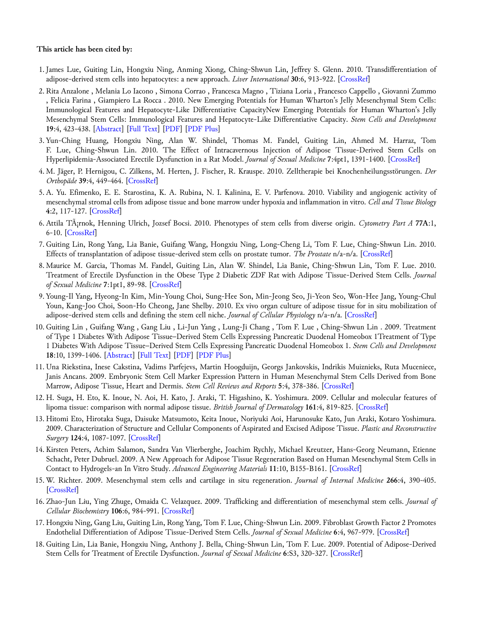# **This article has been cited by:**

- 1. James Lue, Guiting Lin, Hongxiu Ning, Anming Xiong, Ching-Shwun Lin, Jeffrey S. Glenn. 2010. Transdifferentiation of adipose-derived stem cells into hepatocytes: a new approach. *Liver International* **30**:6, 913-922. [\[CrossRef](http://dx.doi.org/10.1111/j.1478-3231.2010.02231.x)]
- 2. Rita Anzalone , Melania Lo Iacono , Simona Corrao , Francesca Magno , Tiziana Loria , Francesco Cappello , Giovanni Zummo , Felicia Farina , Giampiero La Rocca . 2010. New Emerging Potentials for Human Wharton's Jelly Mesenchymal Stem Cells: Immunological Features and Hepatocyte-Like Differentiative CapacityNew Emerging Potentials for Human Wharton's Jelly Mesenchymal Stem Cells: Immunological Features and Hepatocyte-Like Differentiative Capacity. *Stem Cells and Development* **19**:4, 423-438. [[Abstract\]](http://dx.doi.org/10.1089/scd.2009.0299) [\[Full Text](http://www.liebertonline.com/doi/full/10.1089/scd.2009.0299)] [\[PDF](http://www.liebertonline.com/doi/pdf/10.1089/scd.2009.0299)] [[PDF Plus](http://www.liebertonline.com/doi/pdfplus/10.1089/scd.2009.0299)]
- 3. Yun-Ching Huang, Hongxiu Ning, Alan W. Shindel, Thomas M. Fandel, Guiting Lin, Ahmed M. Harraz, Tom F. Lue, Ching-Shwun Lin. 2010. The Effect of Intracavernous Injection of Adipose Tissue-Derived Stem Cells on Hyperlipidemia-Associated Erectile Dysfunction in a Rat Model. *Journal of Sexual Medicine* **7**:4pt1, 1391-1400. [\[CrossRef](http://dx.doi.org/10.1111/j.1743-6109.2009.01697.x)]
- 4. M. Jäger, P. Hernigou, C. Zilkens, M. Herten, J. Fischer, R. Krauspe. 2010. Zelltherapie bei Knochenheilungsstörungen. *Der Orthopäde* **39**:4, 449-464. [\[CrossRef](http://dx.doi.org/10.1007/s00132-009-1583-7)]
- 5. A. Yu. Efimenko, E. E. Starostina, K. A. Rubina, N. I. Kalinina, E. V. Parfenova. 2010. Viability and angiogenic activity of mesenchymal stromal cells from adipose tissue and bone marrow under hypoxia and inflammation in vitro. *Cell and Tissue Biology* **4**:2, 117-127. [[CrossRef\]](http://dx.doi.org/10.1134/S1990519X1002001X)
- 6. Attila Tárnok, Henning Ulrich, Jozsef Bocsi. 2010. Phenotypes of stem cells from diverse origin. *Cytometry Part A* **77A**:1, 6-10. [\[CrossRef\]](http://dx.doi.org/10.1002/cyto.a.20844)
- 7. Guiting Lin, Rong Yang, Lia Banie, Guifang Wang, Hongxiu Ning, Long-Cheng Li, Tom F. Lue, Ching-Shwun Lin. 2010. Effects of transplantation of adipose tissue-derived stem cells on prostate tumor. *The Prostate* n/a-n/a. [[CrossRef\]](http://dx.doi.org/10.1002/pros.21140)
- 8. Maurice M. Garcia, Thomas M. Fandel, Guiting Lin, Alan W. Shindel, Lia Banie, Ching-Shwun Lin, Tom F. Lue. 2010. Treatment of Erectile Dysfunction in the Obese Type 2 Diabetic ZDF Rat with Adipose Tissue-Derived Stem Cells. *Journal of Sexual Medicine* **7**:1pt1, 89-98. [\[CrossRef](http://dx.doi.org/10.1111/j.1743-6109.2009.01541.x)]
- 9. Young-Il Yang, Hyeong-In Kim, Min-Young Choi, Sung-Hee Son, Min-Jeong Seo, Ji-Yeon Seo, Won-Hee Jang, Young-Chul Youn, Kang-Joo Choi, Soon-Ho Cheong, Jane Shelby. 2010. Ex vivo organ culture of adipose tissue for in situ mobilization of adipose-derived stem cells and defining the stem cell niche. *Journal of Cellular Physiology* n/a-n/a. [[CrossRef\]](http://dx.doi.org/10.1002/jcp.22188)
- 10. Guiting Lin , Guifang Wang , Gang Liu , Li-Jun Yang , Lung-Ji Chang , Tom F. Lue , Ching-Shwun Lin . 2009. Treatment of Type 1 Diabetes With Adipose Tissue–Derived Stem Cells Expressing Pancreatic Duodenal Homeobox 1Treatment of Type 1 Diabetes With Adipose Tissue–Derived Stem Cells Expressing Pancreatic Duodenal Homeobox 1. *Stem Cells and Development* **18**:10, 1399-1406. [[Abstract\]](http://dx.doi.org/10.1089/scd.2009.0010) [\[Full Text](http://www.liebertonline.com/doi/full/10.1089/scd.2009.0010)] [\[PDF](http://www.liebertonline.com/doi/pdf/10.1089/scd.2009.0010)] [[PDF Plus](http://www.liebertonline.com/doi/pdfplus/10.1089/scd.2009.0010)]
- 11. Una Riekstina, Inese Cakstina, Vadims Parfejevs, Martin Hoogduijn, Georgs Jankovskis, Indrikis Muiznieks, Ruta Muceniece, Janis Ancans. 2009. Embryonic Stem Cell Marker Expression Pattern in Human Mesenchymal Stem Cells Derived from Bone Marrow, Adipose Tissue, Heart and Dermis. *Stem Cell Reviews and Reports* **5**:4, 378-386. [[CrossRef\]](http://dx.doi.org/10.1007/s12015-009-9094-9)
- 12. H. Suga, H. Eto, K. Inoue, N. Aoi, H. Kato, J. Araki, T. Higashino, K. Yoshimura. 2009. Cellular and molecular features of lipoma tissue: comparison with normal adipose tissue. *British Journal of Dermatology* **161**:4, 819-825. [\[CrossRef](http://dx.doi.org/10.1111/j.1365-2133.2009.09272.x)]
- 13. Hitomi Eto, Hirotaka Suga, Daisuke Matsumoto, Keita Inoue, Noriyuki Aoi, Harunosuke Kato, Jun Araki, Kotaro Yoshimura. 2009. Characterization of Structure and Cellular Components of Aspirated and Excised Adipose Tissue. *Plastic and Reconstructive Surgery* **124**:4, 1087-1097. [[CrossRef\]](http://dx.doi.org/10.1097/PRS.0b013e3181b5a3f1)
- 14. Kirsten Peters, Achim Salamon, Sandra Van Vlierberghe, Joachim Rychly, Michael Kreutzer, Hans-Georg Neumann, Etienne Schacht, Peter Dubruel. 2009. A New Approach for Adipose Tissue Regeneration Based on Human Mesenchymal Stem Cells in Contact to Hydrogels-an In Vitro Study. *Advanced Engineering Materials* **11**:10, B155-B161. [[CrossRef\]](http://dx.doi.org/10.1002/adem.200800379)
- 15. W. Richter. 2009. Mesenchymal stem cells and cartilage in situ regeneration. *Journal of Internal Medicine* **266**:4, 390-405. [\[CrossRef](http://dx.doi.org/10.1111/j.1365-2796.2009.02153.x)]
- 16. Zhao-Jun Liu, Ying Zhuge, Omaida C. Velazquez. 2009. Trafficking and differentiation of mesenchymal stem cells. *Journal of Cellular Biochemistry* **106**:6, 984-991. [\[CrossRef](http://dx.doi.org/10.1002/jcb.22091)]
- 17. Hongxiu Ning, Gang Liu, Guiting Lin, Rong Yang, Tom F. Lue, Ching-Shwun Lin. 2009. Fibroblast Growth Factor 2 Promotes Endothelial Differentiation of Adipose Tissue-Derived Stem Cells. *Journal of Sexual Medicine* **6**:4, 967-979. [\[CrossRef](http://dx.doi.org/10.1111/j.1743-6109.2008.01172.x)]
- 18. Guiting Lin, Lia Banie, Hongxiu Ning, Anthony J. Bella, Ching-Shwun Lin, Tom F. Lue. 2009. Potential of Adipose-Derived Stem Cells for Treatment of Erectile Dysfunction. *Journal of Sexual Medicine* **6**:S3, 320-327. [[CrossRef\]](http://dx.doi.org/10.1111/j.1743-6109.2008.01190.x)